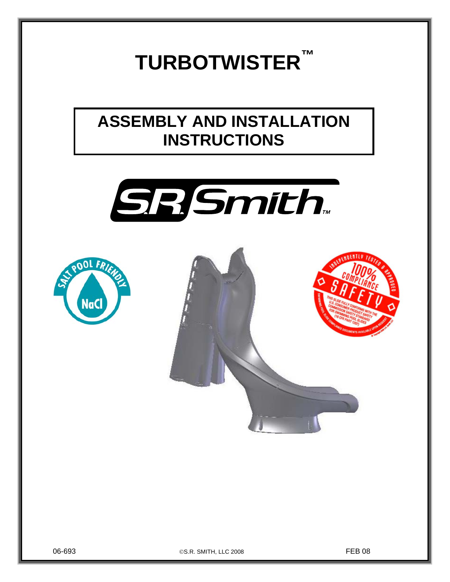# **TURBOTWISTER™**

# **ASSEMBLY AND INSTALLATION INSTRUCTIONS**







06-693 ©S.R. SMITH, LLC 2008 FEB 08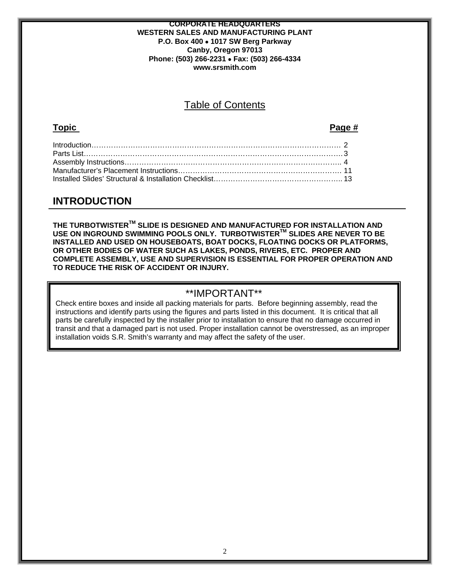#### **CORPORATE HEADQUARTERS WESTERN SALES AND MANUFACTURING PLANT P.O. Box 400** • **1017 SW Berg Parkway Canby, Oregon 97013 Phone: (503) 266-2231** • **Fax: (503) 266-4334 www.srsmith.com**

# Table of Contents

### **Topic Page #**

# **INTRODUCTION**

**THE TURBOTWISTERTM SLIDE IS DESIGNED AND MANUFACTURED FOR INSTALLATION AND USE ON INGROUND SWIMMING POOLS ONLY. TURBOTWISTERTM SLIDES ARE NEVER TO BE INSTALLED AND USED ON HOUSEBOATS, BOAT DOCKS, FLOATING DOCKS OR PLATFORMS, OR OTHER BODIES OF WATER SUCH AS LAKES, PONDS, RIVERS, ETC. PROPER AND COMPLETE ASSEMBLY, USE AND SUPERVISION IS ESSENTIAL FOR PROPER OPERATION AND TO REDUCE THE RISK OF ACCIDENT OR INJURY.** 

## \*\*IMPORTANT\*\*

Check entire boxes and inside all packing materials for parts. Before beginning assembly, read the instructions and identify parts using the figures and parts listed in this document. It is critical that all parts be carefully inspected by the installer prior to installation to ensure that no damage occurred in transit and that a damaged part is not used. Proper installation cannot be overstressed, as an improper installation voids S.R. Smith's warranty and may affect the safety of the user.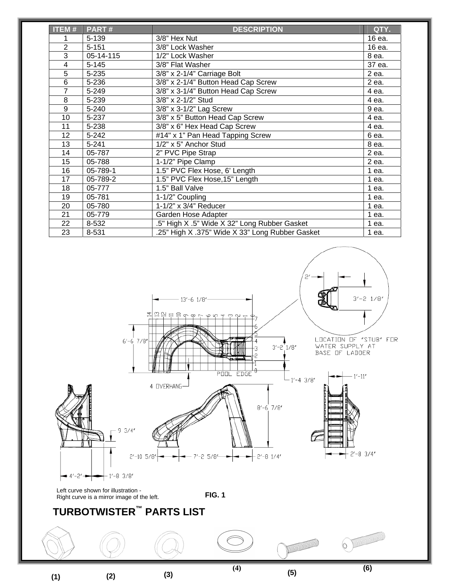| <b>ITEM#</b>   | PART#     | <b>DESCRIPTION</b>                              | QTY.    |
|----------------|-----------|-------------------------------------------------|---------|
|                | 5-139     | 3/8" Hex Nut                                    | 16 ea.  |
| $\overline{2}$ | $5 - 151$ | 3/8" Lock Washer                                | 16 ea.  |
| 3              | 05-14-115 | 1/2" Lock Washer                                | 8 ea.   |
| 4              | $5 - 145$ | 3/8" Flat Washer                                | 37 ea.  |
| $\overline{5}$ | 5-235     | 3/8" x 2-1/4" Carriage Bolt                     | 2 ea.   |
| 6              | 5-236     | 3/8" x 2-1/4" Button Head Cap Screw             | 2 ea.   |
| $\overline{7}$ | 5-249     | 3/8" x 3-1/4" Button Head Cap Screw             | 4 ea.   |
| 8              | 5-239     | 3/8" x 2-1/2" Stud                              | 4 ea.   |
| 9              | 5-240     | 3/8" x 3-1/2" Lag Screw                         | 9 ea.   |
| 10             | 5-237     | 3/8" x 5" Button Head Cap Screw                 | 4 ea.   |
| 11             | 5-238     | 3/8" x 6" Hex Head Cap Screw                    | 4 ea.   |
| 12             | $5 - 242$ | #14" x 1" Pan Head Tapping Screw                | 6 ea.   |
| 13             | $5 - 241$ | 1/2" x 5" Anchor Stud                           | 8 ea.   |
| 14             | 05-787    | 2" PVC Pipe Strap                               | 2 ea.   |
| 15             | 05-788    | 1-1/2" Pipe Clamp                               | 2 ea.   |
| 16             | 05-789-1  | 1.5" PVC Flex Hose, 6' Length                   | 1 ea.   |
| 17             | 05-789-2  | 1.5" PVC Flex Hose, 15" Length                  | $1$ ea. |
| 18             | 05-777    | 1.5" Ball Valve                                 | $1$ ea. |
| 19             | 05-781    | 1-1/2" Coupling                                 | 1 ea.   |
| 20             | 05-780    | $1-1/2$ " x 3/4" Reducer                        | $1$ ea. |
| 21             | 05-779    | Garden Hose Adapter                             | 1 ea.   |
| 22             | 8-532     | .5" High X .5" Wide X 32" Long Rubber Gasket    | $1$ ea. |
| 23             | 8-531     | .25" High X .375" Wide X 33" Long Rubber Gasket | 1 ea.   |



**(1)**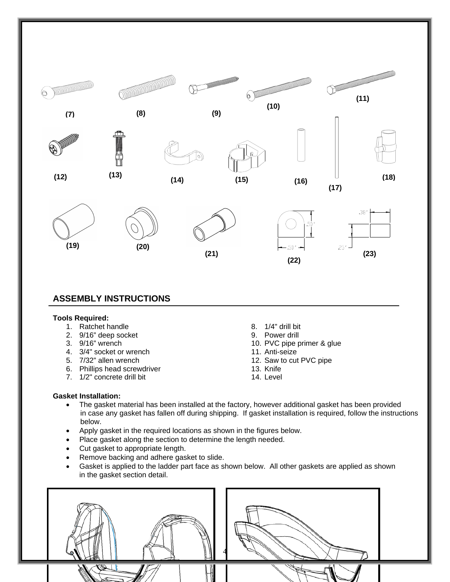

- 
- 6. Phillips head screwdriver
- 7. 1/2" concrete drill bit
- 12. Saw to cut PVC pipe
- 13. Knife
- 14. Level

#### **Gasket Installation:**

- The gasket material has been installed at the factory, however additional gasket has been provided in case any gasket has fallen off during shipping. If gasket installation is required, follow the instructions below.
- Apply gasket in the required locations as shown in the figures below.
- Place gasket along the section to determine the length needed.
- Cut gasket to appropriate length.
- Remove backing and adhere gasket to slide.
- Gasket is applied to the ladder part face as shown below. All other gaskets are applied as shown in the gasket section detail.

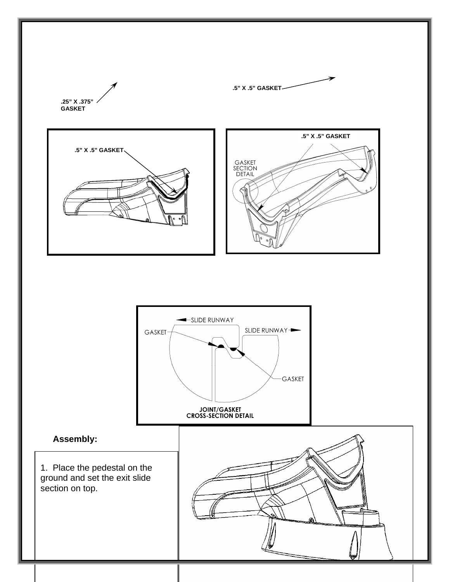

1. Place the pedestal on the ground and set the exit slide section on top.

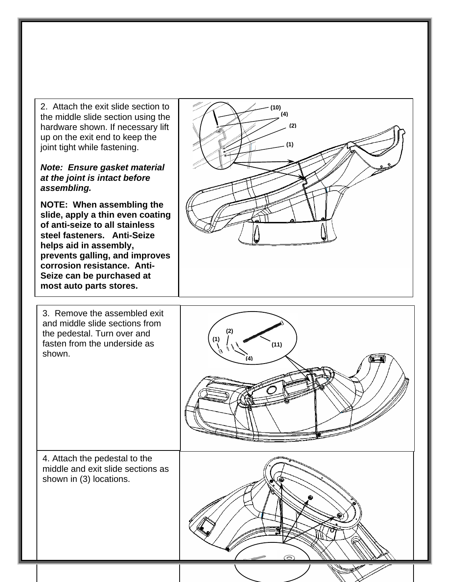2. Attach the exit slide section to the middle slide section using the hardware shown. If necessary lift up on the exit end to keep the joint tight while fastening.

#### *Note: Ensure gasket material at the joint is intact before assembling.*

**NOTE: When assembling the slide, apply a thin even coating of anti-seize to all stainless steel fasteners. Anti-Seize helps aid in assembly, prevents galling, and improves corrosion resistance. Anti-Seize can be purchased at most auto parts stores.**



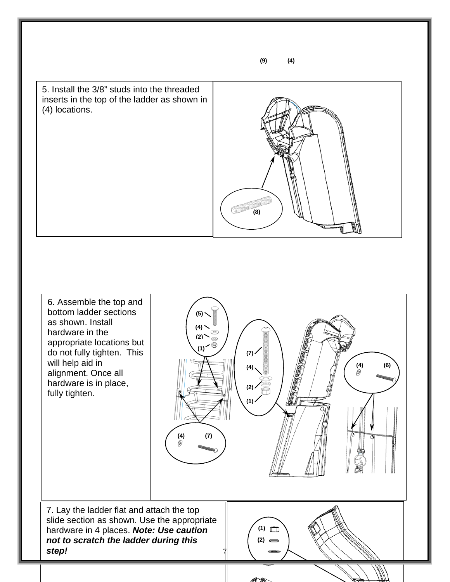5. Install the 3/8" studs into the threaded inserts in the top of the ladder as shown in (4) locations.



6. Assemble the top and bottom ladder sections  $(5)$   $\sim$ as shown. Install **(4)**  hardware in the **(2)** appropriate locations but  $\overline{\phantom{a}}$ **(1)** do not fully tighten. This  $(7)$ will help aid in **(4) (6) (4)**  alignment. Once all 0 hardware is in place, **(2)** fully tighten. **(1) (4) (7)**  7. Lay the ladder flat and attach the top slide section as shown. Use the appropriate  $(1)$ hardware in 4 places. *Note: Use caution not to scratch the ladder during this*   $(2) =$ *step!*  7

**(9) (4)**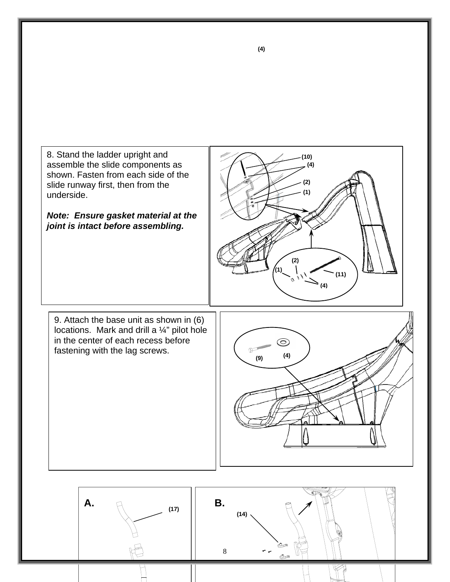



**(4)**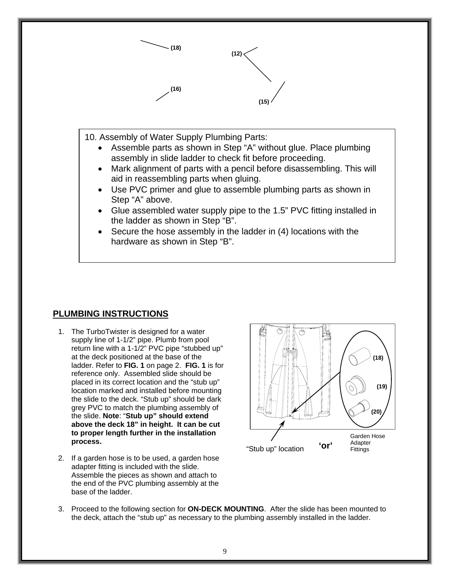

#### **PLUMBING INSTRUCTIONS**

- 1. The TurboTwister is designed for a water supply line of 1-1/2" pipe. Plumb from pool return line with a 1-1/2" PVC pipe "stubbed up" at the deck positioned at the base of the ladder. Refer to **FIG. 1** on page 2. **FIG. 1** is for reference only. Assembled slide should be placed in its correct location and the "stub up" location marked and installed before mounting the slide to the deck. "Stub up" should be dark grey PVC to match the plumbing assembly of the slide. **Note**: "**Stub up" should extend above the deck 18" in height. It can be cut to proper length further in the installation process.**
- 2. If a garden hose is to be used, a garden hose adapter fitting is included with the slide. Assemble the pieces as shown and attach to the end of the PVC plumbing assembly at the base of the ladder.



3. Proceed to the following section for **ON-DECK MOUNTING**. After the slide has been mounted to the deck, attach the "stub up" as necessary to the plumbing assembly installed in the ladder.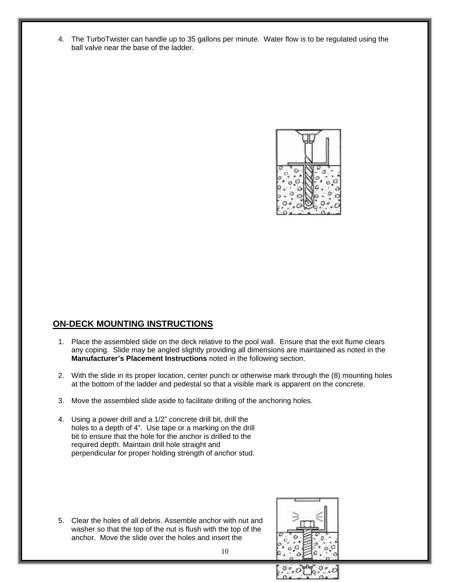4. The TurboTwister can handle up to 35 gallons per minute. Water flow is to be regulated using the ball valve near the base of the ladder.



### **ON-DECK MOUNTING INSTRUCTIONS**

- 1. Place the assembled slide on the deck relative to the pool wall. Ensure that the exit flume clears any coping. Slide may be angled slightly providing all dimensions are maintained as noted in the **Manufacturer's Placement Instructions** noted in the following section.
- 2. With the slide in its proper location, center punch or otherwise mark through the (8) mounting holes at the bottom of the ladder and pedestal so that a visible mark is apparent on the concrete.
- 3. Move the assembled slide aside to facilitate drilling of the anchoring holes.
- 4. Using a power drill and a 1/2" concrete drill bit, drill the holes to a depth of 4". Use tape or a marking on the drill bit to ensure that the hole for the anchor is drilled to the required depth. Maintain drill hole straight and perpendicular for proper holding strength of anchor stud.

5. Clear the holes of all debris. Assemble anchor with nut and washer so that the top of the nut is flush with the top of the anchor. Move the slide over the holes and insert the

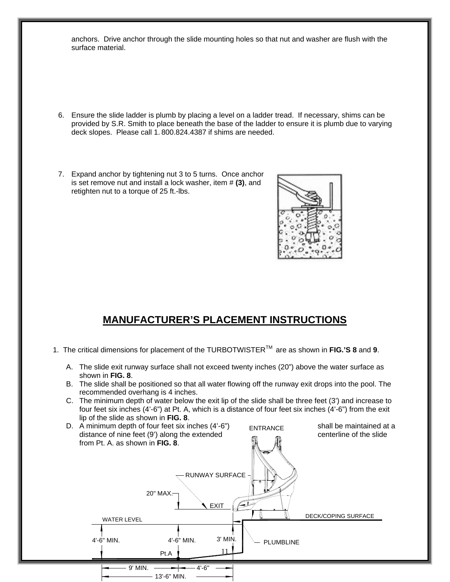anchors. Drive anchor through the slide mounting holes so that nut and washer are flush with the surface material.

- 6. Ensure the slide ladder is plumb by placing a level on a ladder tread. If necessary, shims can be provided by S.R. Smith to place beneath the base of the ladder to ensure it is plumb due to varying deck slopes. Please call 1. 800.824.4387 if shims are needed.
- 7. Expand anchor by tightening nut 3 to 5 turns. Once anchor is set remove nut and install a lock washer, item # **(3)**, and retighten nut to a torque of 25 ft.-lbs.



# **MANUFACTURER'S PLACEMENT INSTRUCTIONS**

- 1. The critical dimensions for placement of the TURBOTWISTERTM are as shown in **FIG.'S 8** and **9**.
	- A. The slide exit runway surface shall not exceed twenty inches (20") above the water surface as shown in **FIG. 8**.
	- B. The slide shall be positioned so that all water flowing off the runway exit drops into the pool. The recommended overhang is 4 inches.
	- C. The minimum depth of water below the exit lip of the slide shall be three feet (3') and increase to four feet six inches (4'-6") at Pt. A, which is a distance of four feet six inches (4'-6") from the exit lip of the slide as shown in **FIG. 8**.

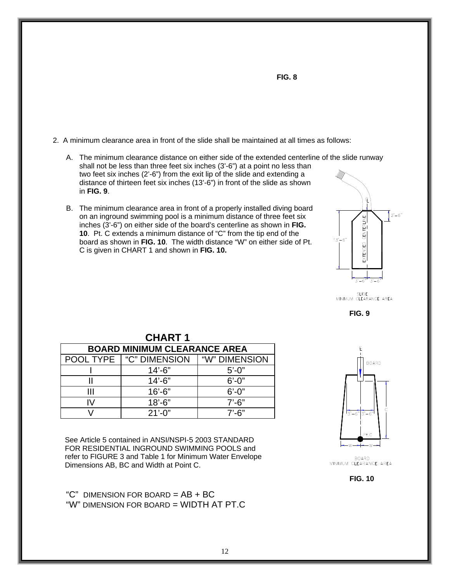

- A. The minimum clearance distance on either side of the extended centerline of the slide runway shall not be less than three feet six inches (3'-6") at a point no less than two feet six inches (2'-6") from the exit lip of the slide and extending a distance of thirteen feet six inches (13'-6") in front of the slide as shown in **FIG. 9**.
- B. The minimum clearance area in front of a properly installed diving board on an inground swimming pool is a minimum distance of three feet six inches (3'-6") on either side of the board's centerline as shown in **FIG. 10**. Pt. C extends a minimum distance of "C" from the tip end of the board as shown in **FIG. 10**. The width distance "W" on either side of Pt. C is given in CHART 1 and shown in **FIG. 10.**



SLIDE<br>MINIMUM CLEARANCE AREA



| <b>CHART 1</b>                      |                                  |               |  |  |  |
|-------------------------------------|----------------------------------|---------------|--|--|--|
| <b>BOARD MINIMUM CLEARANCE AREA</b> |                                  |               |  |  |  |
|                                     | <b>POOL TYPE   "C" DIMENSION</b> | "W" DIMENSION |  |  |  |
|                                     | $14' - 6"$                       | $5' - 0''$    |  |  |  |
|                                     | $14' - 6"$                       | $6' - 0''$    |  |  |  |
|                                     | $16' - 6"$                       | $6' - 0''$    |  |  |  |
| IV.                                 | $18' - 6"$                       | $7' - 6''$    |  |  |  |
|                                     | $21'-0$ "                        | $7'$ -6"      |  |  |  |

See Article 5 contained in ANSI/NSPI-5 2003 STANDARD FOR RESIDENTIAL INGROUND SWIMMING POOLS and refer to FIGURE 3 and Table 1 for Minimum Water Envelope Dimensions AB, BC and Width at Point C.

" $C$ " DIMENSION FOR BOARD =  $AB + BC$ "W" DIMENSION FOR BOARD = WIDTH AT PT.C



BOARD<br>MINIMUM CLEARANCE AREA

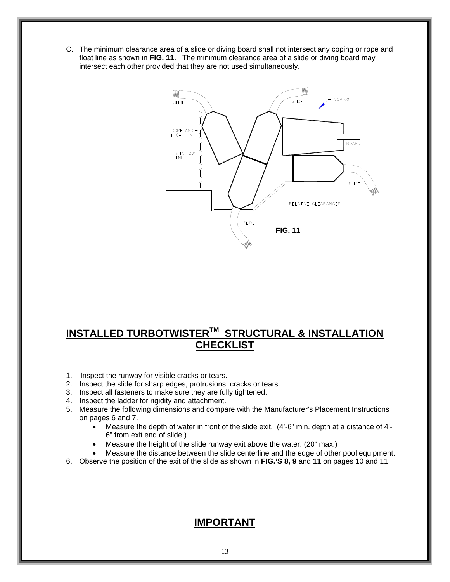C. The minimum clearance area of a slide or diving board shall not intersect any coping or rope and float line as shown in **FIG. 11.** The minimum clearance area of a slide or diving board may intersect each other provided that they are not used simultaneously.



# **INSTALLED TURBOTWISTER™ STRUCTURAL & INSTALLATION CHECKLIST**

- 1. Inspect the runway for visible cracks or tears.
- 2. Inspect the slide for sharp edges, protrusions, cracks or tears.
- 3. Inspect all fasteners to make sure they are fully tightened.
- 4. Inspect the ladder for rigidity and attachment.
- 5. Measure the following dimensions and compare with the Manufacturer's Placement Instructions on pages 6 and 7.
	- Measure the depth of water in front of the slide exit. (4'-6" min. depth at a distance of 4'- 6" from exit end of slide.)
	- Measure the height of the slide runway exit above the water. (20" max.)
	- Measure the distance between the slide centerline and the edge of other pool equipment.
- 6. Observe the position of the exit of the slide as shown in **FIG.'S 8, 9** and **11** on pages 10 and 11.

### **IMPORTANT**